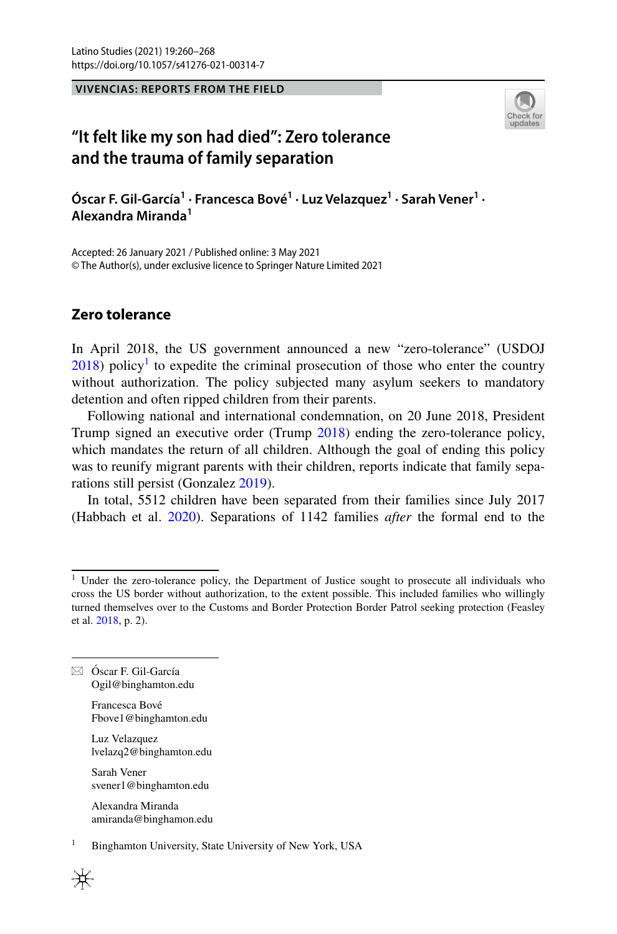**VIVENCIAS: REPORTS FROM THE FIELD**



# **"It felt like my son had died": Zero tolerance and the trauma of family separation**

 $\acute{\textbf{O}}$ scar F. Gil-García $^1\cdot$ Francesca Bové $^1\cdot$ Luz Velazquez $^1\cdot$ Sarah Vener $^1\cdot$ **Alexandra Miranda1**

Accepted: 26 January 2021 / Published online: 3 May 2021 © The Author(s), under exclusive licence to Springer Nature Limited 2021

## **Zero tolerance**

In April 2018, the US government announced a new "zero-tolerance" (USDOJ  $2018$ ) policy<sup>[1](#page-0-0)</sup> to expedite the criminal prosecution of those who enter the country without authorization. The policy subjected many asylum seekers to mandatory detention and often ripped children from their parents.

Following national and international condemnation, on 20 June 2018, President Trump signed an executive order (Trump [2018](#page-7-1)) ending the zero-tolerance policy, which mandates the return of all children. Although the goal of ending this policy was to reunify migrant parents with their children, reports indicate that family separations still persist (Gonzalez [2019](#page-6-0)).

In total, 5512 children have been separated from their families since July 2017 (Habbach et al. [2020\)](#page-6-1). Separations of 1142 families *after* the formal end to the

 $\boxtimes$  Óscar F. Gil-García Ogil@binghamton.edu

> Francesca Bové Fbove1@binghamton.edu

Luz Velazquez lvelazq2@binghamton.edu

Sarah Vener svener1@binghamton.edu

Alexandra Miranda amiranda@binghamon.edu

<sup>1</sup> Binghamton University, State University of New York, USA



<span id="page-0-0"></span><sup>&</sup>lt;sup>1</sup> Under the zero-tolerance policy, the Department of Justice sought to prosecute all individuals who cross the US border without authorization, to the extent possible. This included families who willingly turned themselves over to the Customs and Border Protection Border Patrol seeking protection (Feasley et al. [2018,](#page-6-2) p. 2).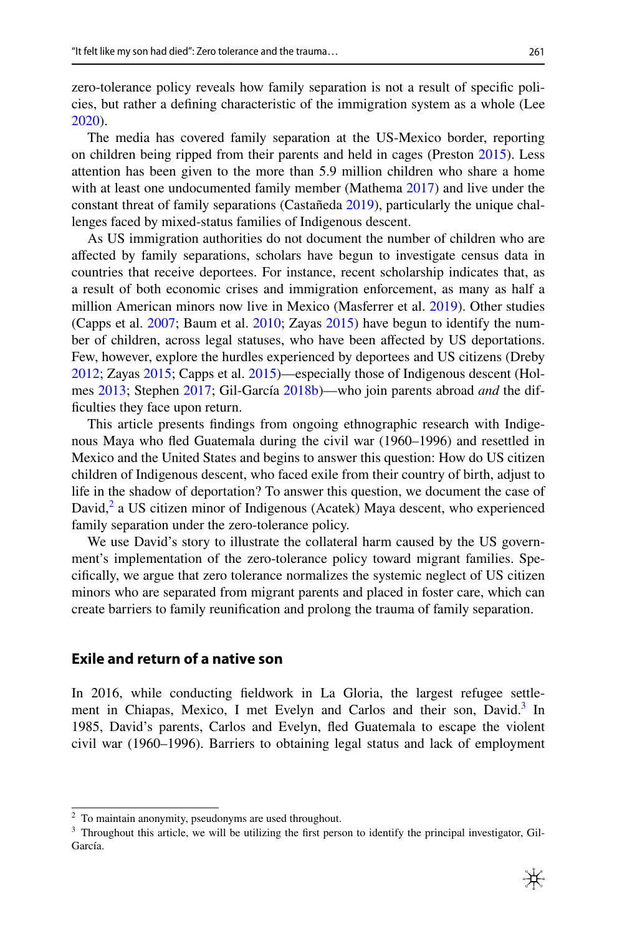zero-tolerance policy reveals how family separation is not a result of specifc policies, but rather a defning characteristic of the immigration system as a whole (Lee [2020](#page-6-3)).

The media has covered family separation at the US-Mexico border, reporting on children being ripped from their parents and held in cages (Preston [2015\)](#page-7-2). Less attention has been given to the more than 5.9 million children who share a home with at least one undocumented family member (Mathema [2017\)](#page-7-3) and live under the constant threat of family separations (Castañeda [2019\)](#page-6-4), particularly the unique challenges faced by mixed-status families of Indigenous descent.

As US immigration authorities do not document the number of children who are afected by family separations, scholars have begun to investigate census data in countries that receive deportees. For instance, recent scholarship indicates that, as a result of both economic crises and immigration enforcement, as many as half a million American minors now live in Mexico (Masferrer et al. [2019](#page-7-4)). Other studies (Capps et al. [2007;](#page-6-5) Baum et al. [2010](#page-6-6); Zayas [2015](#page-7-5)) have begun to identify the number of children, across legal statuses, who have been afected by US deportations. Few, however, explore the hurdles experienced by deportees and US citizens (Dreby [2012](#page-6-7); Zayas [2015](#page-7-5); Capps et al. [2015](#page-6-8))—especially those of Indigenous descent (Holmes [2013](#page-6-9); Stephen [2017;](#page-7-6) Gil-García [2018b](#page-6-10))—who join parents abroad *and* the diffculties they face upon return.

This article presents fndings from ongoing ethnographic research with Indigenous Maya who fed Guatemala during the civil war (1960–1996) and resettled in Mexico and the United States and begins to answer this question: How do US citizen children of Indigenous descent, who faced exile from their country of birth, adjust to life in the shadow of deportation? To answer this question, we document the case of David,<sup>[2](#page-1-0)</sup> a US citizen minor of Indigenous (Acatek) Maya descent, who experienced family separation under the zero-tolerance policy.

We use David's story to illustrate the collateral harm caused by the US government's implementation of the zero-tolerance policy toward migrant families. Specifcally, we argue that zero tolerance normalizes the systemic neglect of US citizen minors who are separated from migrant parents and placed in foster care, which can create barriers to family reunifcation and prolong the trauma of family separation.

## **Exile and return of a native son**

In 2016, while conducting feldwork in La Gloria, the largest refugee settlement in Chiapas, Mexico, I met Evelyn and Carlos and their son, David.<sup>3</sup> In 1985, David's parents, Carlos and Evelyn, fed Guatemala to escape the violent civil war (1960–1996). Barriers to obtaining legal status and lack of employment

<span id="page-1-0"></span><sup>&</sup>lt;sup>2</sup> To maintain anonymity, pseudonyms are used throughout.

<span id="page-1-1"></span><sup>&</sup>lt;sup>3</sup> Throughout this article, we will be utilizing the first person to identify the principal investigator, Gil-García.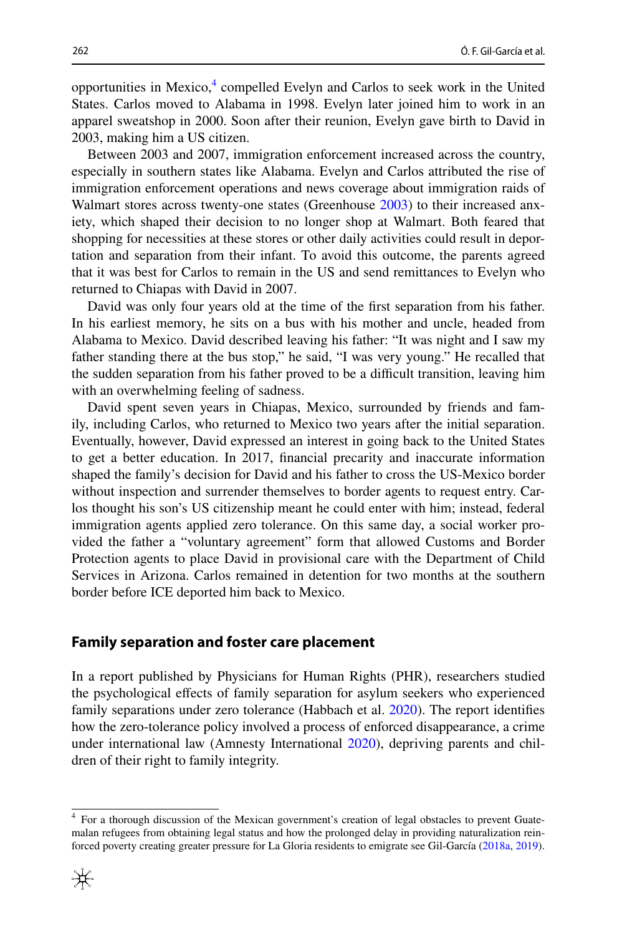opportunities in Mexico,<sup>[4](#page-2-0)</sup> compelled Evelyn and Carlos to seek work in the United States. Carlos moved to Alabama in 1998. Evelyn later joined him to work in an apparel sweatshop in 2000. Soon after their reunion, Evelyn gave birth to David in 2003, making him a US citizen.

Between 2003 and 2007, immigration enforcement increased across the country, especially in southern states like Alabama. Evelyn and Carlos attributed the rise of immigration enforcement operations and news coverage about immigration raids of Walmart stores across twenty-one states (Greenhouse [2003\)](#page-6-11) to their increased anxiety, which shaped their decision to no longer shop at Walmart. Both feared that shopping for necessities at these stores or other daily activities could result in deportation and separation from their infant. To avoid this outcome, the parents agreed that it was best for Carlos to remain in the US and send remittances to Evelyn who returned to Chiapas with David in 2007.

David was only four years old at the time of the frst separation from his father. In his earliest memory, he sits on a bus with his mother and uncle, headed from Alabama to Mexico. David described leaving his father: "It was night and I saw my father standing there at the bus stop," he said, "I was very young." He recalled that the sudden separation from his father proved to be a difcult transition, leaving him with an overwhelming feeling of sadness.

David spent seven years in Chiapas, Mexico, surrounded by friends and family, including Carlos, who returned to Mexico two years after the initial separation. Eventually, however, David expressed an interest in going back to the United States to get a better education. In 2017, fnancial precarity and inaccurate information shaped the family's decision for David and his father to cross the US-Mexico border without inspection and surrender themselves to border agents to request entry. Carlos thought his son's US citizenship meant he could enter with him; instead, federal immigration agents applied zero tolerance. On this same day, a social worker provided the father a "voluntary agreement" form that allowed Customs and Border Protection agents to place David in provisional care with the Department of Child Services in Arizona. Carlos remained in detention for two months at the southern border before ICE deported him back to Mexico.

#### **Family separation and foster care placement**

In a report published by Physicians for Human Rights (PHR), researchers studied the psychological efects of family separation for asylum seekers who experienced family separations under zero tolerance (Habbach et al. [2020](#page-6-1)). The report identifes how the zero-tolerance policy involved a process of enforced disappearance, a crime under international law (Amnesty International [2020\)](#page-6-12), depriving parents and children of their right to family integrity.

<span id="page-2-0"></span><sup>4</sup> For a thorough discussion of the Mexican government's creation of legal obstacles to prevent Guatemalan refugees from obtaining legal status and how the prolonged delay in providing naturalization reinforced poverty creating greater pressure for La Gloria residents to emigrate see Gil-García ([2018a](#page-6-13), [2019](#page-6-14)).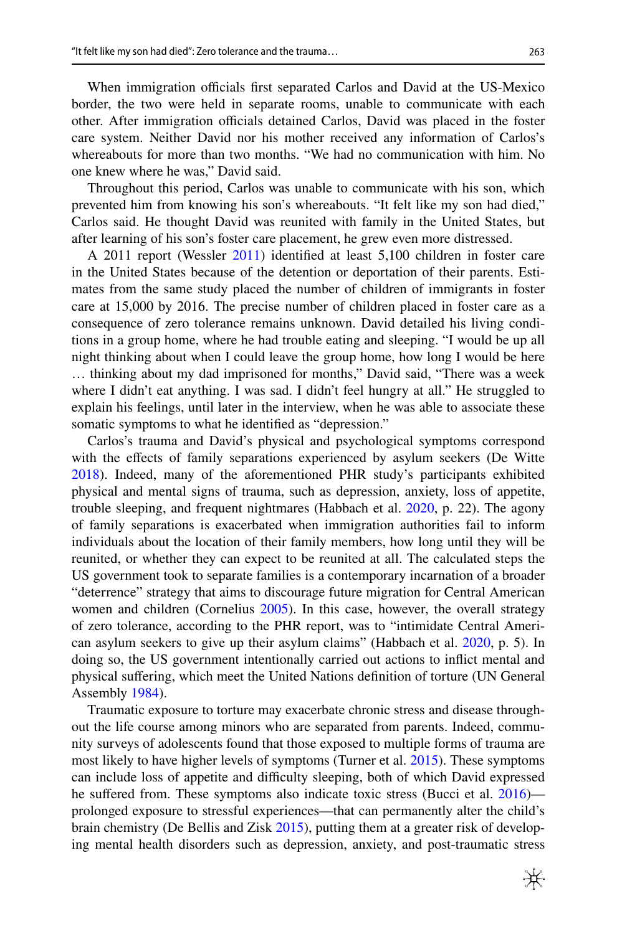When immigration officials first separated Carlos and David at the US-Mexico border, the two were held in separate rooms, unable to communicate with each other. After immigration officials detained Carlos, David was placed in the foster care system. Neither David nor his mother received any information of Carlos's whereabouts for more than two months. "We had no communication with him. No one knew where he was," David said.

Throughout this period, Carlos was unable to communicate with his son, which prevented him from knowing his son's whereabouts. "It felt like my son had died," Carlos said. He thought David was reunited with family in the United States, but after learning of his son's foster care placement, he grew even more distressed.

A 2011 report (Wessler [2011\)](#page-7-7) identifed at least 5,100 children in foster care in the United States because of the detention or deportation of their parents. Estimates from the same study placed the number of children of immigrants in foster care at 15,000 by 2016. The precise number of children placed in foster care as a consequence of zero tolerance remains unknown. David detailed his living conditions in a group home, where he had trouble eating and sleeping. "I would be up all night thinking about when I could leave the group home, how long I would be here … thinking about my dad imprisoned for months," David said, "There was a week where I didn't eat anything. I was sad. I didn't feel hungry at all." He struggled to explain his feelings, until later in the interview, when he was able to associate these somatic symptoms to what he identifed as "depression."

Carlos's trauma and David's physical and psychological symptoms correspond with the efects of family separations experienced by asylum seekers (De Witte [2018](#page-6-15)). Indeed, many of the aforementioned PHR study's participants exhibited physical and mental signs of trauma, such as depression, anxiety, loss of appetite, trouble sleeping, and frequent nightmares (Habbach et al. [2020](#page-6-1), p. 22). The agony of family separations is exacerbated when immigration authorities fail to inform individuals about the location of their family members, how long until they will be reunited, or whether they can expect to be reunited at all. The calculated steps the US government took to separate families is a contemporary incarnation of a broader "deterrence" strategy that aims to discourage future migration for Central American women and children (Cornelius [2005](#page-6-16)). In this case, however, the overall strategy of zero tolerance, according to the PHR report, was to "intimidate Central American asylum seekers to give up their asylum claims" (Habbach et al. [2020,](#page-6-1) p. 5). In doing so, the US government intentionally carried out actions to infict mental and physical sufering, which meet the United Nations defnition of torture (UN General Assembly [1984](#page-7-8)).

Traumatic exposure to torture may exacerbate chronic stress and disease throughout the life course among minors who are separated from parents. Indeed, community surveys of adolescents found that those exposed to multiple forms of trauma are most likely to have higher levels of symptoms (Turner et al. [2015](#page-7-9)). These symptoms can include loss of appetite and difficulty sleeping, both of which David expressed he suffered from. These symptoms also indicate toxic stress (Bucci et al. [2016](#page-6-17)) prolonged exposure to stressful experiences—that can permanently alter the child's brain chemistry (De Bellis and Zisk [2015\)](#page-6-18), putting them at a greater risk of developing mental health disorders such as depression, anxiety, and post-traumatic stress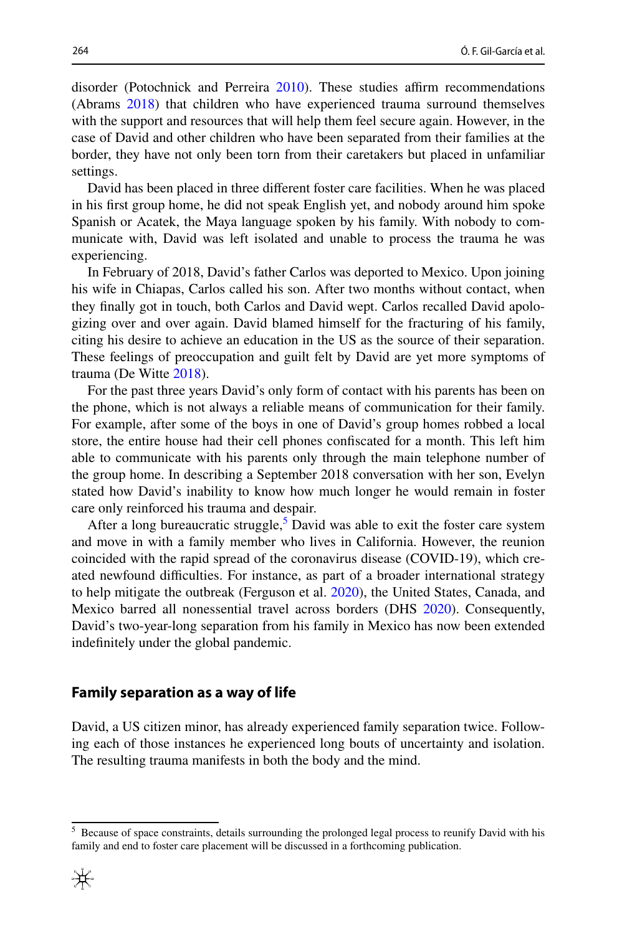disorder (Potochnick and Perreira [2010\)](#page-7-10). These studies affirm recommendations (Abrams [2018](#page-6-19)) that children who have experienced trauma surround themselves with the support and resources that will help them feel secure again. However, in the case of David and other children who have been separated from their families at the border, they have not only been torn from their caretakers but placed in unfamiliar settings.

David has been placed in three diferent foster care facilities. When he was placed in his frst group home, he did not speak English yet, and nobody around him spoke Spanish or Acatek, the Maya language spoken by his family. With nobody to communicate with, David was left isolated and unable to process the trauma he was experiencing.

In February of 2018, David's father Carlos was deported to Mexico. Upon joining his wife in Chiapas, Carlos called his son. After two months without contact, when they fnally got in touch, both Carlos and David wept. Carlos recalled David apologizing over and over again. David blamed himself for the fracturing of his family, citing his desire to achieve an education in the US as the source of their separation. These feelings of preoccupation and guilt felt by David are yet more symptoms of trauma (De Witte [2018](#page-6-15)).

For the past three years David's only form of contact with his parents has been on the phone, which is not always a reliable means of communication for their family. For example, after some of the boys in one of David's group homes robbed a local store, the entire house had their cell phones confscated for a month. This left him able to communicate with his parents only through the main telephone number of the group home. In describing a September 2018 conversation with her son, Evelyn stated how David's inability to know how much longer he would remain in foster care only reinforced his trauma and despair.

After a long bureaucratic struggle,<sup>[5](#page-4-0)</sup> David was able to exit the foster care system and move in with a family member who lives in California. However, the reunion coincided with the rapid spread of the coronavirus disease (COVID-19), which created newfound difculties. For instance, as part of a broader international strategy to help mitigate the outbreak (Ferguson et al. [2020\)](#page-6-20), the United States, Canada, and Mexico barred all nonessential travel across borders (DHS [2020\)](#page-6-21). Consequently, David's two-year-long separation from his family in Mexico has now been extended indefnitely under the global pandemic.

#### **Family separation as a way of life**

David, a US citizen minor, has already experienced family separation twice. Following each of those instances he experienced long bouts of uncertainty and isolation. The resulting trauma manifests in both the body and the mind.

<span id="page-4-0"></span><sup>&</sup>lt;sup>5</sup> Because of space constraints, details surrounding the prolonged legal process to reunify David with his family and end to foster care placement will be discussed in a forthcoming publication.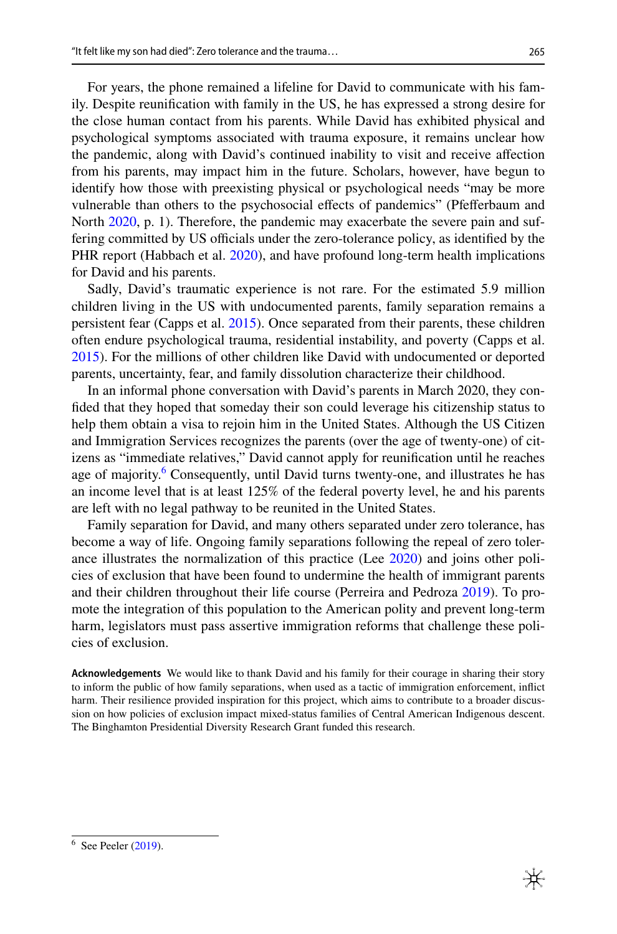For years, the phone remained a lifeline for David to communicate with his family. Despite reunifcation with family in the US, he has expressed a strong desire for the close human contact from his parents. While David has exhibited physical and psychological symptoms associated with trauma exposure, it remains unclear how the pandemic, along with David's continued inability to visit and receive afection from his parents, may impact him in the future. Scholars, however, have begun to identify how those with preexisting physical or psychological needs "may be more vulnerable than others to the psychosocial efects of pandemics" (Pfeferbaum and North [2020](#page-7-11), p. 1). Therefore, the pandemic may exacerbate the severe pain and suffering committed by US officials under the zero-tolerance policy, as identified by the PHR report (Habbach et al. [2020\)](#page-6-1), and have profound long-term health implications for David and his parents.

Sadly, David's traumatic experience is not rare. For the estimated 5.9 million children living in the US with undocumented parents, family separation remains a persistent fear (Capps et al. [2015\)](#page-6-8). Once separated from their parents, these children often endure psychological trauma, residential instability, and poverty (Capps et al. [2015](#page-6-8)). For the millions of other children like David with undocumented or deported parents, uncertainty, fear, and family dissolution characterize their childhood.

In an informal phone conversation with David's parents in March 2020, they confded that they hoped that someday their son could leverage his citizenship status to help them obtain a visa to rejoin him in the United States. Although the US Citizen and Immigration Services recognizes the parents (over the age of twenty-one) of citizens as "immediate relatives," David cannot apply for reunifcation until he reaches age of majority.<sup>[6](#page-5-0)</sup> Consequently, until David turns twenty-one, and illustrates he has an income level that is at least 125% of the federal poverty level, he and his parents are left with no legal pathway to be reunited in the United States.

Family separation for David, and many others separated under zero tolerance, has become a way of life. Ongoing family separations following the repeal of zero tolerance illustrates the normalization of this practice (Lee [2020](#page-6-3)) and joins other policies of exclusion that have been found to undermine the health of immigrant parents and their children throughout their life course (Perreira and Pedroza [2019](#page-7-12)). To promote the integration of this population to the American polity and prevent long-term harm, legislators must pass assertive immigration reforms that challenge these policies of exclusion.

**Acknowledgements** We would like to thank David and his family for their courage in sharing their story to inform the public of how family separations, when used as a tactic of immigration enforcement, inflict harm. Their resilience provided inspiration for this project, which aims to contribute to a broader discussion on how policies of exclusion impact mixed-status families of Central American Indigenous descent. The Binghamton Presidential Diversity Research Grant funded this research.

<span id="page-5-0"></span> $6$  See Peeler ([2019\)](#page-7-13).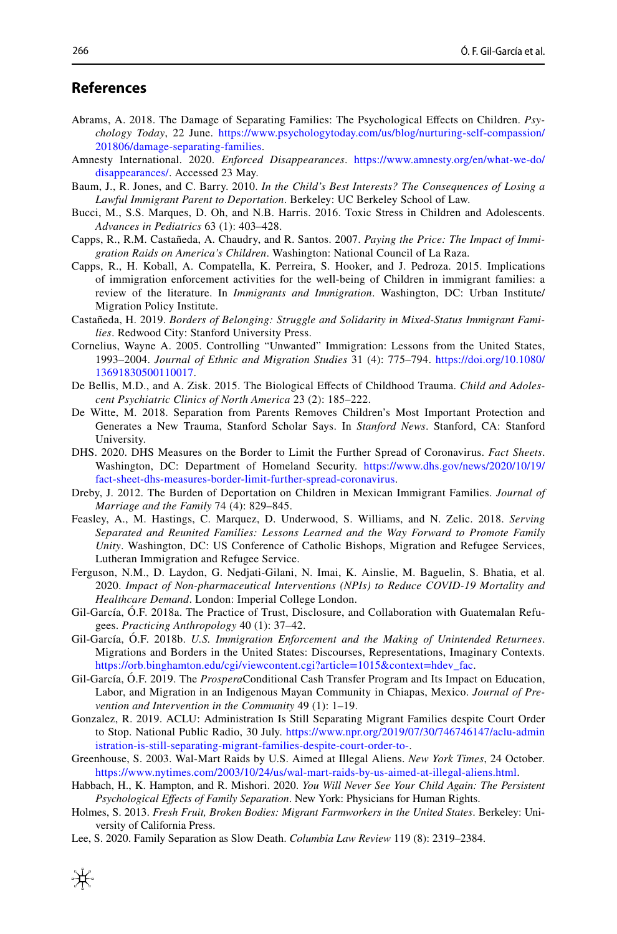### **References**

- <span id="page-6-19"></span>Abrams, A. 2018. The Damage of Separating Families: The Psychological Efects on Children. *Psychology Today*, 22 June. [https://www.psychologytoday.com/us/blog/nurturing-self-compassion/](https://www.psychologytoday.com/us/blog/nurturing-self-compassion/201806/damage-separating-families) [201806/damage-separating-families](https://www.psychologytoday.com/us/blog/nurturing-self-compassion/201806/damage-separating-families).
- <span id="page-6-12"></span>Amnesty International. 2020. *Enforced Disappearances*. [https://www.amnesty.org/en/what-we-do/](https://www.amnesty.org/en/what-we-do/disappearances/) [disappearances/](https://www.amnesty.org/en/what-we-do/disappearances/). Accessed 23 May.
- <span id="page-6-6"></span>Baum, J., R. Jones, and C. Barry. 2010. *In the Child's Best Interests? The Consequences of Losing a Lawful Immigrant Parent to Deportation*. Berkeley: UC Berkeley School of Law.
- <span id="page-6-17"></span>Bucci, M., S.S. Marques, D. Oh, and N.B. Harris. 2016. Toxic Stress in Children and Adolescents. *Advances in Pediatrics* 63 (1): 403–428.
- <span id="page-6-5"></span>Capps, R., R.M. Castañeda, A. Chaudry, and R. Santos. 2007. *Paying the Price: The Impact of Immigration Raids on America's Children*. Washington: National Council of La Raza.
- <span id="page-6-8"></span>Capps, R., H. Koball, A. Compatella, K. Perreira, S. Hooker, and J. Pedroza. 2015. Implications of immigration enforcement activities for the well-being of Children in immigrant families: a review of the literature. In *Immigrants and Immigration*. Washington, DC: Urban Institute/ Migration Policy Institute.
- <span id="page-6-4"></span>Castañeda, H. 2019. *Borders of Belonging: Struggle and Solidarity in Mixed-Status Immigrant Families*. Redwood City: Stanford University Press.
- <span id="page-6-16"></span>Cornelius, Wayne A. 2005. Controlling "Unwanted" Immigration: Lessons from the United States, 1993–2004. *Journal of Ethnic and Migration Studies* 31 (4): 775–794. [https://doi.org/10.1080/](https://doi.org/10.1080/13691830500110017) [13691830500110017.](https://doi.org/10.1080/13691830500110017)
- <span id="page-6-18"></span>De Bellis, M.D., and A. Zisk. 2015. The Biological Efects of Childhood Trauma. *Child and Adolescent Psychiatric Clinics of North America* 23 (2): 185–222.
- <span id="page-6-15"></span>De Witte, M. 2018. Separation from Parents Removes Children's Most Important Protection and Generates a New Trauma, Stanford Scholar Says. In *Stanford News*. Stanford, CA: Stanford University.
- <span id="page-6-21"></span>DHS. 2020. DHS Measures on the Border to Limit the Further Spread of Coronavirus. *Fact Sheets*. Washington, DC: Department of Homeland Security. [https://www.dhs.gov/news/2020/10/19/](https://www.dhs.gov/news/2020/10/19/fact-sheet-dhs-measures-border-limit-further-spread-coronavirus) [fact-sheet-dhs-measures-border-limit-further-spread-coronavirus](https://www.dhs.gov/news/2020/10/19/fact-sheet-dhs-measures-border-limit-further-spread-coronavirus).
- <span id="page-6-7"></span>Dreby, J. 2012. The Burden of Deportation on Children in Mexican Immigrant Families. *Journal of Marriage and the Family* 74 (4): 829–845.
- <span id="page-6-2"></span>Feasley, A., M. Hastings, C. Marquez, D. Underwood, S. Williams, and N. Zelic. 2018. *Serving Separated and Reunited Families: Lessons Learned and the Way Forward to Promote Family Unity*. Washington, DC: US Conference of Catholic Bishops, Migration and Refugee Services, Lutheran Immigration and Refugee Service.
- <span id="page-6-20"></span>Ferguson, N.M., D. Laydon, G. Nedjati-Gilani, N. Imai, K. Ainslie, M. Baguelin, S. Bhatia, et al. 2020. *Impact of Non-pharmaceutical Interventions (NPIs) to Reduce COVID-19 Mortality and Healthcare Demand*. London: Imperial College London.
- <span id="page-6-13"></span>Gil-García, Ó.F. 2018a. The Practice of Trust, Disclosure, and Collaboration with Guatemalan Refugees. *Practicing Anthropology* 40 (1): 37–42.
- <span id="page-6-10"></span>Gil-García, Ó.F. 2018b. *U.S. Immigration Enforcement and the Making of Unintended Returnees*. Migrations and Borders in the United States: Discourses, Representations, Imaginary Contexts. [https://orb.binghamton.edu/cgi/viewcontent.cgi?article=1015&context=hdev\\_fac](https://orb.binghamton.edu/cgi/viewcontent.cgi?article=1015&context=hdev_fac).
- <span id="page-6-14"></span>Gil-García, Ó.F. 2019. The *Prospera*Conditional Cash Transfer Program and Its Impact on Education, Labor, and Migration in an Indigenous Mayan Community in Chiapas, Mexico. *Journal of Prevention and Intervention in the Community* 49 (1): 1–19.
- <span id="page-6-0"></span>Gonzalez, R. 2019. ACLU: Administration Is Still Separating Migrant Families despite Court Order to Stop. National Public Radio, 30 July. [https://www.npr.org/2019/07/30/746746147/aclu-admin](https://www.npr.org/2019/07/30/746746147/aclu-administration-is-still-separating-migrant-families-despite-court-order-to-) [istration-is-still-separating-migrant-families-despite-court-order-to-](https://www.npr.org/2019/07/30/746746147/aclu-administration-is-still-separating-migrant-families-despite-court-order-to-).
- <span id="page-6-11"></span>Greenhouse, S. 2003. Wal-Mart Raids by U.S. Aimed at Illegal Aliens. *New York Times*, 24 October. <https://www.nytimes.com/2003/10/24/us/wal-mart-raids-by-us-aimed-at-illegal-aliens.html>.
- <span id="page-6-1"></span>Habbach, H., K. Hampton, and R. Mishori. 2020. *You Will Never See Your Child Again: The Persistent Psychological Efects of Family Separation*. New York: Physicians for Human Rights.
- <span id="page-6-9"></span>Holmes, S. 2013. *Fresh Fruit, Broken Bodies: Migrant Farmworkers in the United States*. Berkeley: University of California Press.
- <span id="page-6-3"></span>Lee, S. 2020. Family Separation as Slow Death. *Columbia Law Review* 119 (8): 2319–2384.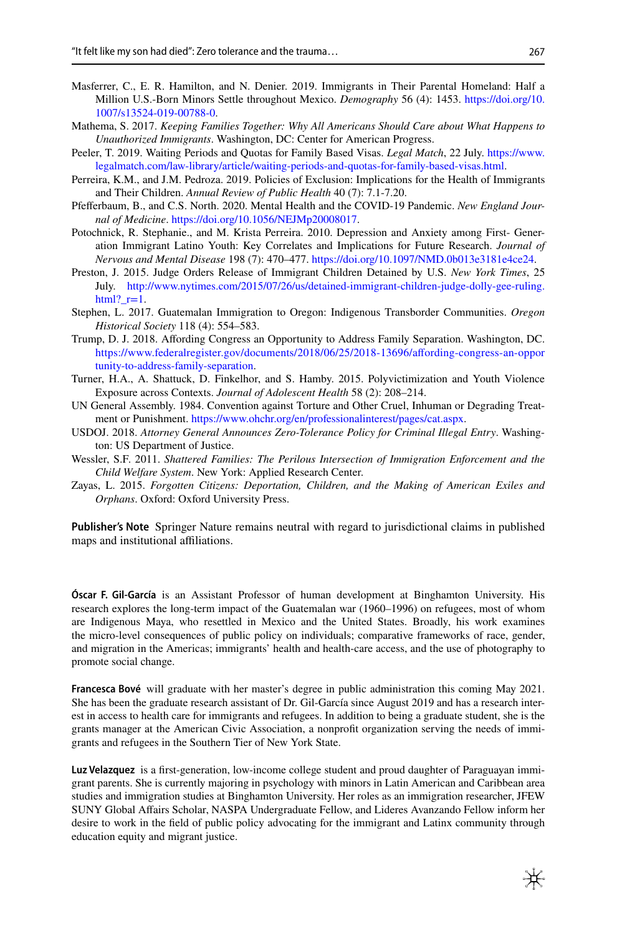- <span id="page-7-4"></span>Masferrer, C., E. R. Hamilton, and N. Denier. 2019. Immigrants in Their Parental Homeland: Half a Million U.S.-Born Minors Settle throughout Mexico. *Demography* 56 (4): 1453. [https://doi.org/10.](https://doi.org/10.1007/s13524-019-00788-0) [1007/s13524-019-00788-0](https://doi.org/10.1007/s13524-019-00788-0).
- <span id="page-7-3"></span>Mathema, S. 2017. *Keeping Families Together: Why All Americans Should Care about What Happens to Unauthorized Immigrants*. Washington, DC: Center for American Progress.
- <span id="page-7-13"></span>Peeler, T. 2019. Waiting Periods and Quotas for Family Based Visas. *Legal Match*, 22 July. [https://www.](https://www.legalmatch.com/law-library/article/waiting-periods-and-quotas-for-family-based-visas.html) [legalmatch.com/law-library/article/waiting-periods-and-quotas-for-family-based-visas.html](https://www.legalmatch.com/law-library/article/waiting-periods-and-quotas-for-family-based-visas.html).
- <span id="page-7-12"></span>Perreira, K.M., and J.M. Pedroza. 2019. Policies of Exclusion: Implications for the Health of Immigrants and Their Children. *Annual Review of Public Health* 40 (7): 7.1-7.20.
- <span id="page-7-11"></span>Pfeferbaum, B., and C.S. North. 2020. Mental Health and the COVID-19 Pandemic. *New England Journal of Medicine*.<https://doi.org/10.1056/NEJMp20008017>.
- <span id="page-7-10"></span>Potochnick, R. Stephanie., and M. Krista Perreira. 2010. Depression and Anxiety among First- Generation Immigrant Latino Youth: Key Correlates and Implications for Future Research. *Journal of Nervous and Mental Disease* 198 (7): 470–477. [https://doi.org/10.1097/NMD.0b013e3181e4ce24.](https://doi.org/10.1097/NMD.0b013e3181e4ce24)
- <span id="page-7-2"></span>Preston, J. 2015. Judge Orders Release of Immigrant Children Detained by U.S. *New York Times*, 25 July. [http://www.nytimes.com/2015/07/26/us/detained-immigrant-children-judge-dolly-gee-ruling.](http://www.nytimes.com/2015/07/26/us/detained-immigrant-children-judge-dolly-gee-ruling.html?_r=1)  $html?$ \_r=1.
- <span id="page-7-6"></span>Stephen, L. 2017. Guatemalan Immigration to Oregon: Indigenous Transborder Communities. *Oregon Historical Society* 118 (4): 554–583.
- <span id="page-7-1"></span>Trump, D. J. 2018. Afording Congress an Opportunity to Address Family Separation. Washington, DC. [https://www.federalregister.gov/documents/2018/06/25/2018-13696/afording-congress-an-oppor](https://www.federalregister.gov/documents/2018/06/25/2018-13696/affording-congress-an-opportunity-to-address-family-separation) [tunity-to-address-family-separation.](https://www.federalregister.gov/documents/2018/06/25/2018-13696/affording-congress-an-opportunity-to-address-family-separation)
- <span id="page-7-9"></span>Turner, H.A., A. Shattuck, D. Finkelhor, and S. Hamby. 2015. Polyvictimization and Youth Violence Exposure across Contexts. *Journal of Adolescent Health* 58 (2): 208–214.
- <span id="page-7-8"></span>UN General Assembly. 1984. Convention against Torture and Other Cruel, Inhuman or Degrading Treatment or Punishment. [https://www.ohchr.org/en/professionalinterest/pages/cat.aspx.](https://www.ohchr.org/en/professionalinterest/pages/cat.aspx)
- <span id="page-7-0"></span>USDOJ. 2018. *Attorney General Announces Zero-Tolerance Policy for Criminal Illegal Entry*. Washington: US Department of Justice.
- <span id="page-7-7"></span>Wessler, S.F. 2011. *Shattered Families: The Perilous Intersection of Immigration Enforcement and the Child Welfare System*. New York: Applied Research Center.
- <span id="page-7-5"></span>Zayas, L. 2015. *Forgotten Citizens: Deportation, Children, and the Making of American Exiles and Orphans*. Oxford: Oxford University Press.

**Publisher's Note** Springer Nature remains neutral with regard to jurisdictional claims in published maps and institutional affiliations.

**Óscar F. Gil‑García** is an Assistant Professor of human development at Binghamton University. His research explores the long-term impact of the Guatemalan war (1960–1996) on refugees, most of whom are Indigenous Maya, who resettled in Mexico and the United States. Broadly, his work examines the micro-level consequences of public policy on individuals; comparative frameworks of race, gender, and migration in the Americas; immigrants' health and health-care access, and the use of photography to promote social change.

**Francesca Bové** will graduate with her master's degree in public administration this coming May 2021. She has been the graduate research assistant of Dr. Gil-García since August 2019 and has a research interest in access to health care for immigrants and refugees. In addition to being a graduate student, she is the grants manager at the American Civic Association, a nonproft organization serving the needs of immigrants and refugees in the Southern Tier of New York State.

**Luz Velazquez** is a frst-generation, low-income college student and proud daughter of Paraguayan immigrant parents. She is currently majoring in psychology with minors in Latin American and Caribbean area studies and immigration studies at Binghamton University. Her roles as an immigration researcher, JFEW SUNY Global Afairs Scholar, NASPA Undergraduate Fellow, and Lideres Avanzando Fellow inform her desire to work in the feld of public policy advocating for the immigrant and Latinx community through education equity and migrant justice.